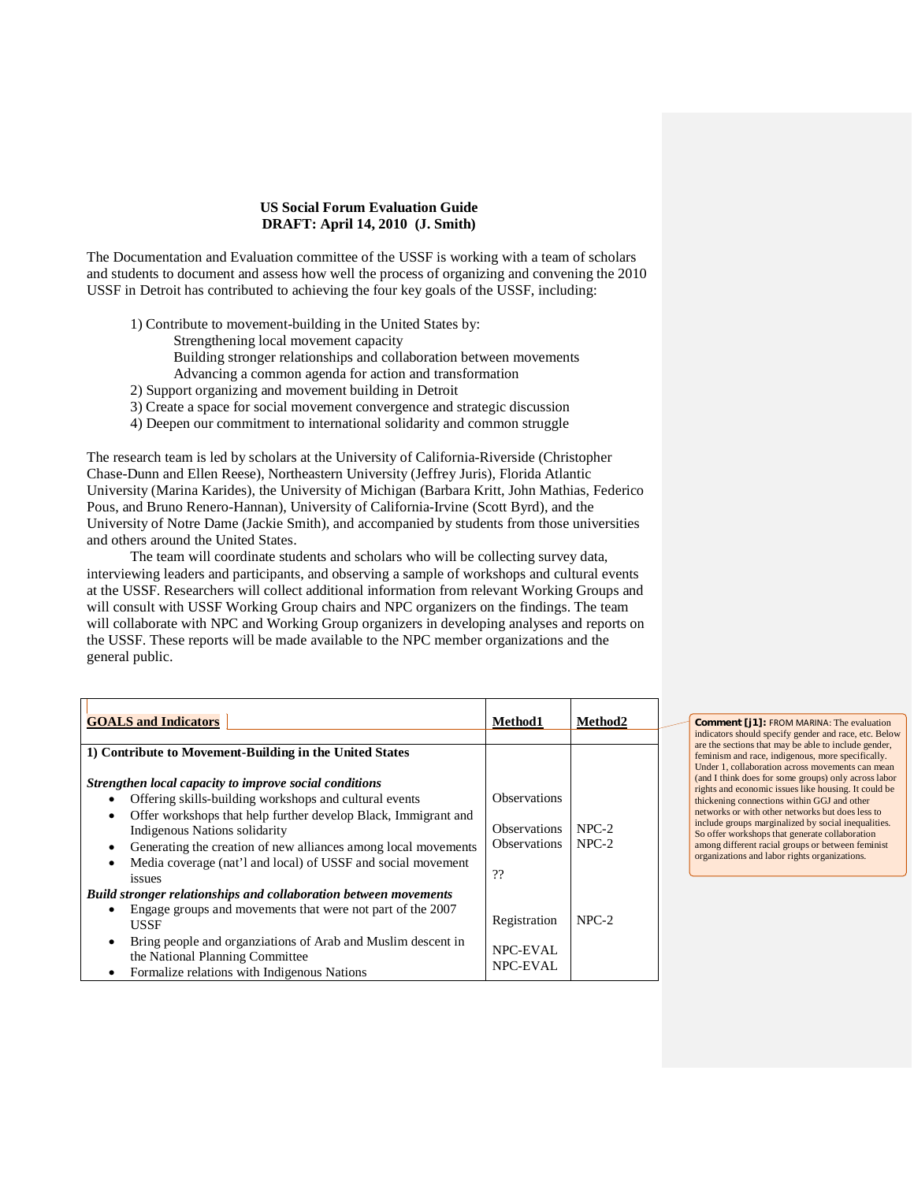## **US Social Forum Evaluation Guide DRAFT: April 14, 2010 (J. Smith)**

The Documentation and Evaluation committee of the USSF is working with a team of scholars and students to document and assess how well the process of organizing and convening the 2010 USSF in Detroit has contributed to achieving the four key goals of the USSF, including:

- 1) Contribute to movement-building in the United States by:
	- Strengthening local movement capacity
	- Building stronger relationships and collaboration between movements
	- Advancing a common agenda for action and transformation
- 2) Support organizing and movement building in Detroit
- 3) Create a space for social movement convergence and strategic discussion
- 4) Deepen our commitment to international solidarity and common struggle

The research team is led by scholars at the University of California-Riverside (Christopher Chase-Dunn and Ellen Reese), Northeastern University (Jeffrey Juris), Florida Atlantic University (Marina Karides), the University of Michigan (Barbara Kritt, John Mathias, Federico Pous, and Bruno Renero-Hannan), University of California-Irvine (Scott Byrd), and the University of Notre Dame (Jackie Smith), and accompanied by students from those universities and others around the United States.

The team will coordinate students and scholars who will be collecting survey data, interviewing leaders and participants, and observing a sample of workshops and cultural events at the USSF. Researchers will collect additional information from relevant Working Groups and will consult with USSF Working Group chairs and NPC organizers on the findings. The team will collaborate with NPC and Working Group organizers in developing analyses and reports on the USSF. These reports will be made available to the NPC member organizations and the general public.

| <b>GOALS and Indicators</b>                                                                                                                                                                                                                                                                                                                                                       | Method1                                                                 | Method2            |  |
|-----------------------------------------------------------------------------------------------------------------------------------------------------------------------------------------------------------------------------------------------------------------------------------------------------------------------------------------------------------------------------------|-------------------------------------------------------------------------|--------------------|--|
| 1) Contribute to Movement-Building in the United States                                                                                                                                                                                                                                                                                                                           |                                                                         |                    |  |
| Strengthen local capacity to improve social conditions<br>Offering skills-building workshops and cultural events<br>$\bullet$<br>Offer workshops that help further develop Black, Immigrant and<br>٠<br>Indigenous Nations solidarity<br>Generating the creation of new alliances among local movements<br>٠<br>Media coverage (nat'l and local) of USSF and social movement<br>٠ | <b>Observations</b><br><b>Observations</b><br><b>Observations</b><br>?? | $NPC-2$<br>$NPC-2$ |  |
| issues<br>Build stronger relationships and collaboration between movements<br>Engage groups and movements that were not part of the 2007<br>٠<br><b>USSF</b>                                                                                                                                                                                                                      | Registration                                                            | $NPC-2$            |  |
| Bring people and organizations of Arab and Muslim descent in<br>٠<br>the National Planning Committee<br>Formalize relations with Indigenous Nations<br>$\bullet$                                                                                                                                                                                                                  | <b>NPC-EVAL</b><br>NPC-EVAL                                             |                    |  |

**Comment [j1]:** FROM MARINA: The evaluation indicators should specify gender and race, etc. Below are the sections that may be able to include gender, feminism and race, indigenous, more specifically. Under 1, collaboration across movements can mean (and I think does for some groups) only across labor rights and economic issues like housing. It could be thickening connections within GGJ and other networks or with other networks but does less to include groups marginalized by social inequalities. So offer workshops that generate collaboration among different racial groups or between feminist organizations and labor rights organizations.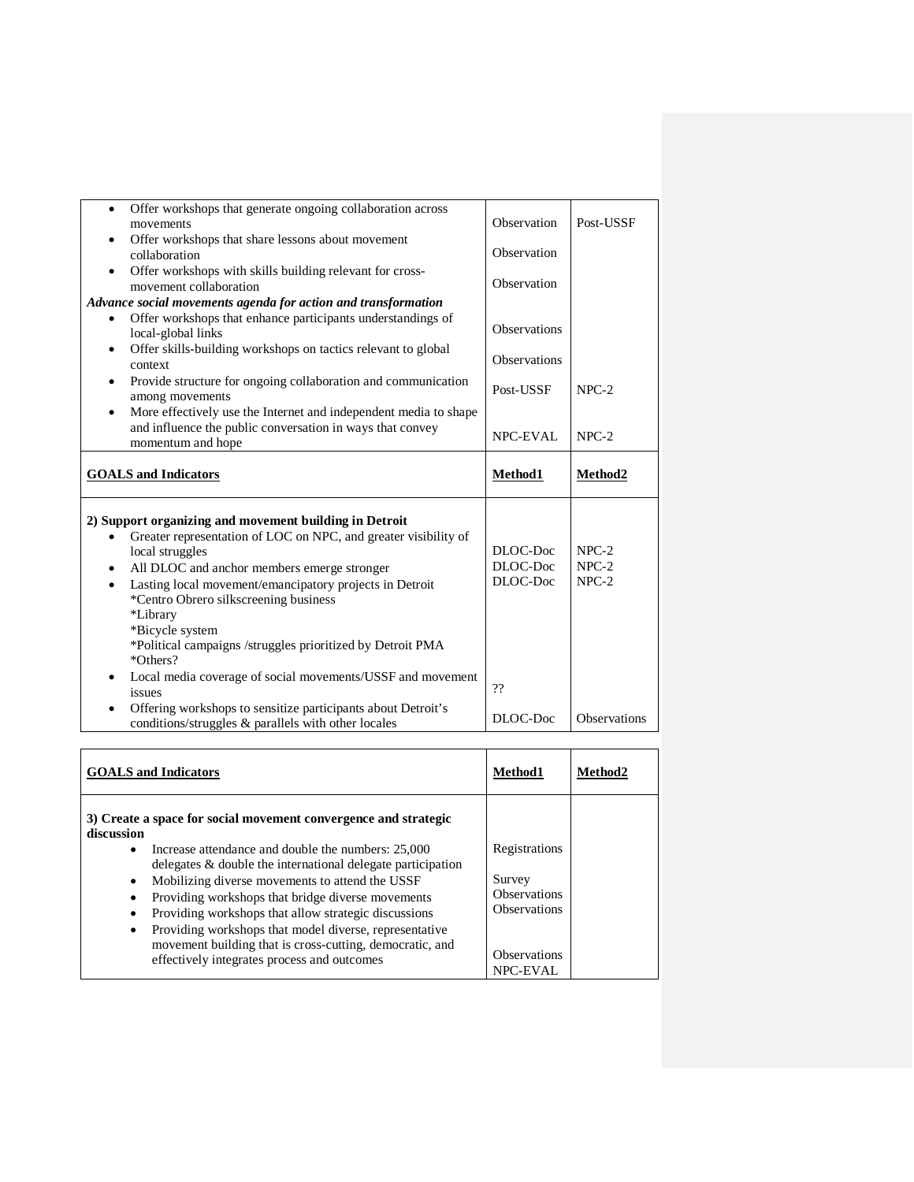| Offer workshops that generate ongoing collaboration across<br>$\bullet$<br>movements<br>Offer workshops that share lessons about movement<br>collaboration<br>Offer workshops with skills building relevant for cross-<br>movement collaboration                                                                                                                                                                                                                                                 | Observation<br>Observation<br>Observation  | Post-USSF                     |
|--------------------------------------------------------------------------------------------------------------------------------------------------------------------------------------------------------------------------------------------------------------------------------------------------------------------------------------------------------------------------------------------------------------------------------------------------------------------------------------------------|--------------------------------------------|-------------------------------|
| Advance social movements agenda for action and transformation<br>Offer workshops that enhance participants understandings of<br>local-global links<br>Offer skills-building workshops on tactics relevant to global<br>٠<br>context                                                                                                                                                                                                                                                              | <b>Observations</b><br><b>Observations</b> |                               |
| Provide structure for ongoing collaboration and communication<br>$\bullet$<br>among movements<br>More effectively use the Internet and independent media to shape<br>and influence the public conversation in ways that convey<br>momentum and hope                                                                                                                                                                                                                                              | Post-USSF<br><b>NPC-EVAL</b>               | $NPC-2$<br>$NPC-2$            |
| <b>GOALS</b> and Indicators                                                                                                                                                                                                                                                                                                                                                                                                                                                                      | Method1                                    | Method2                       |
|                                                                                                                                                                                                                                                                                                                                                                                                                                                                                                  |                                            |                               |
| 2) Support organizing and movement building in Detroit<br>Greater representation of LOC on NPC, and greater visibility of<br>local struggles<br>All DLOC and anchor members emerge stronger<br>$\bullet$<br>Lasting local movement/emancipatory projects in Detroit<br>$\bullet$<br>*Centro Obrero silkscreening business<br>*Library<br>*Bicycle system<br>*Political campaigns /struggles prioritized by Detroit PMA<br>*Others?<br>Local media coverage of social movements/USSF and movement | DLOC-Doc<br>DLOC-Doc<br>DLOC-Doc<br>??     | $NPC-2$<br>$NPC-2$<br>$NPC-2$ |

| <b>GOALS</b> and Indicators                                                                                                                                                                                                                                                                                                                                                                                                                                                                                                                                         | Method1                                                                                                         | Method2 |
|---------------------------------------------------------------------------------------------------------------------------------------------------------------------------------------------------------------------------------------------------------------------------------------------------------------------------------------------------------------------------------------------------------------------------------------------------------------------------------------------------------------------------------------------------------------------|-----------------------------------------------------------------------------------------------------------------|---------|
| 3) Create a space for social movement convergence and strategic<br>discussion<br>Increase attendance and double the numbers: 25,000<br>٠<br>delegates & double the international delegate participation<br>Mobilizing diverse movements to attend the USSF<br>$\bullet$<br>Providing workshops that bridge diverse movements<br>Providing workshops that allow strategic discussions<br>٠<br>Providing workshops that model diverse, representative<br>٠<br>movement building that is cross-cutting, democratic, and<br>effectively integrates process and outcomes | Registrations<br>Survey<br><b>Observations</b><br><b>Observations</b><br><b>Observations</b><br><b>NPC-EVAL</b> |         |